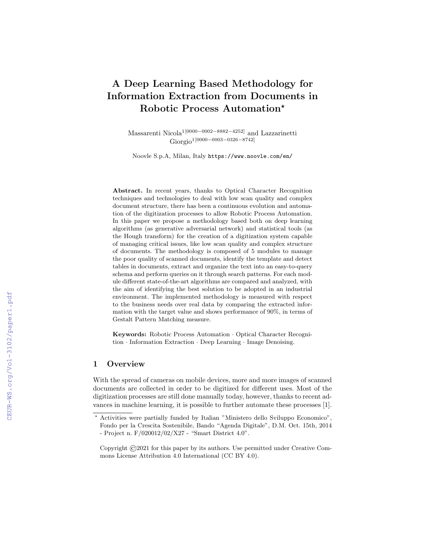# A Deep Learning Based Methodology for Information Extraction from Documents in Robotic Process Automation?

Massarenti Nicola1[0000−0002−8882−4252] and Lazzarinetti Giorgio<sup>1</sup>[0000–0003–0326–8742]

Noovle S.p.A, Milan, Italy https://www.noovle.com/en/

Abstract. In recent years, thanks to Optical Character Recognition techniques and technologies to deal with low scan quality and complex document structure, there has been a continuous evolution and automation of the digitization processes to allow Robotic Process Automation. In this paper we propose a methodology based both on deep learning algorithms (as generative adversarial network) and statistical tools (as the Hough transform) for the creation of a digitization system capable of managing critical issues, like low scan quality and complex structure of documents. The methodology is composed of 5 modules to manage the poor quality of scanned documents, identify the template and detect tables in documents, extract and organize the text into an easy-to-query schema and perform queries on it through search patterns. For each module different state-of-the-art algorithms are compared and analyzed, with the aim of identifying the best solution to be adopted in an industrial environment. The implemented methodology is measured with respect to the business needs over real data by comparing the extracted information with the target value and shows performance of 90%, in terms of Gestalt Pattern Matching measure.

Keywords: Robotic Process Automation · Optical Character Recognition · Information Extraction · Deep Learning · Image Denoising.

# 1 Overview

With the spread of cameras on mobile devices, more and more images of scanned documents are collected in order to be digitized for different uses. Most of the digitization processes are still done manually today, however, thanks to recent advances in machine learning, it is possible to further automate these processes [1].

<sup>?</sup> Activities were partially funded by Italian "Ministero dello Sviluppo Economico", Fondo per la Crescita Sostenibile, Bando "Agenda Digitale", D.M. Oct. 15th, 2014 - Project n. F/020012/02/X27 - "Smart District 4.0".

Copyright ©2021 for this paper by its authors. Use permitted under Creative Commons License Attribution 4.0 International (CC BY 4.0).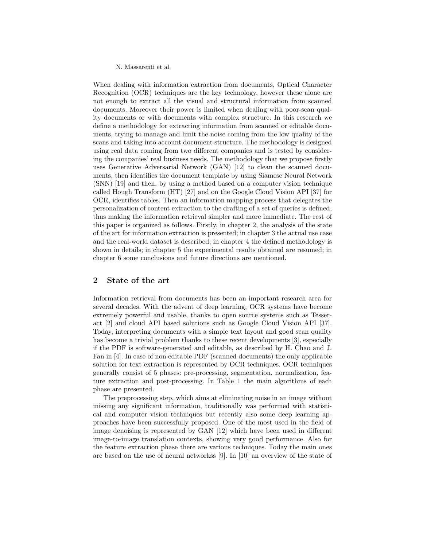When dealing with information extraction from documents, Optical Character Recognition (OCR) techniques are the key technology, however these alone are not enough to extract all the visual and structural information from scanned documents. Moreover their power is limited when dealing with poor-scan quality documents or with documents with complex structure. In this research we define a methodology for extracting information from scanned or editable documents, trying to manage and limit the noise coming from the low quality of the scans and taking into account document structure. The methodology is designed using real data coming from two different companies and is tested by considering the companies' real business needs. The methodology that we propose firstly uses Generative Adversarial Network (GAN) [12] to clean the scanned documents, then identifies the document template by using Siamese Neural Network (SNN) [19] and then, by using a method based on a computer vision technique called Hough Transform (HT) [27] and on the Google Cloud Vision API [37] for OCR, identifies tables. Then an information mapping process that delegates the personalization of content extraction to the drafting of a set of queries is defined, thus making the information retrieval simpler and more immediate. The rest of this paper is organized as follows. Firstly, in chapter 2, the analysis of the state of the art for information extraction is presented; in chapter 3 the actual use case and the real-world dataset is described; in chapter 4 the defined methodology is shown in details; in chapter 5 the experimental results obtained are resumed; in chapter 6 some conclusions and future directions are mentioned.

# 2 State of the art

Information retrieval from documents has been an important research area for several decades. With the advent of deep learning, OCR systems have become extremely powerful and usable, thanks to open source systems such as Tesseract [2] and cloud API based solutions such as Google Cloud Vision API [37]. Today, interpreting documents with a simple text layout and good scan quality has become a trivial problem thanks to these recent developments [3], especially if the PDF is software-generated and editable, as described by H. Chao and J. Fan in [4]. In case of non editable PDF (scanned documents) the only applicable solution for text extraction is represented by OCR techniques. OCR techniques generally consist of 5 phases: pre-processing, segmentation, normalization, feature extraction and post-processing. In Table 1 the main algorithms of each phase are presented.

The preprocessing step, which aims at eliminating noise in an image without missing any significant information, traditionally was performed with statistical and computer vision techniques but recently also some deep learning approaches have been successfully proposed. One of the most used in the field of image denoising is represented by GAN [12] which have been used in different image-to-image translation contexts, showing very good performance. Also for the feature extraction phase there are various techniques. Today the main ones are based on the use of neural networkss [9]. In [10] an overview of the state of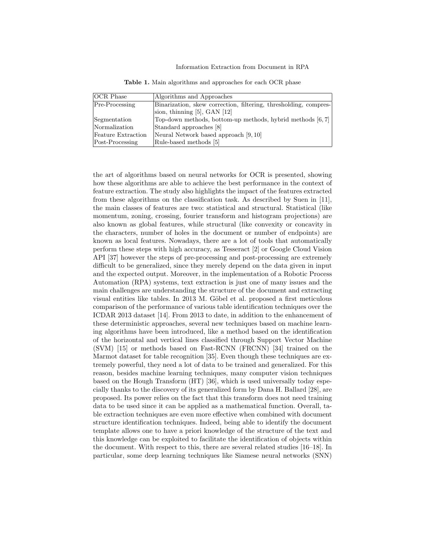| <b>OCR</b> Phase   | Algorithms and Approaches                                        |
|--------------------|------------------------------------------------------------------|
| $Pre-Processing$   | Binarization, skew correction, filtering, thresholding, compres- |
|                    | sion, thinning $[5]$ , GAN $[12]$                                |
| Segmentation       | Top-down methods, bottom-up methods, hybrid methods [6,7]        |
| Normalization      | Standard approaches [8]                                          |
| Feature Extraction | Neural Network based approach [9, 10]                            |
| Post-Processing    | Rule-based methods [5]                                           |

Table 1. Main algorithms and approaches for each OCR phase

the art of algorithms based on neural networks for OCR is presented, showing how these algorithms are able to achieve the best performance in the context of feature extraction. The study also highlights the impact of the features extracted from these algorithms on the classification task. As described by Suen in [11], the main classes of features are two: statistical and structural. Statistical (like momentum, zoning, crossing, fourier transform and histogram projections) are also known as global features, while structural (like convexity or concavity in the characters, number of holes in the document or number of endpoints) are known as local features. Nowadays, there are a lot of tools that automatically perform these steps with high accuracy, as Tesseract [2] or Google Cloud Vision API [37] however the steps of pre-processing and post-processing are extremely difficult to be generalized, since they merely depend on the data given in input and the expected output. Moreover, in the implementation of a Robotic Process Automation (RPA) systems, text extraction is just one of many issues and the main challenges are understanding the structure of the document and extracting visual entities like tables. In 2013 M. Göbel et al. proposed a first meticulous comparison of the performance of various table identification techniques over the ICDAR 2013 dataset [14]. From 2013 to date, in addition to the enhancement of these deterministic approaches, several new techniques based on machine learning algorithms have been introduced, like a method based on the identification of the horizontal and vertical lines classified through Support Vector Machine (SVM) [15] or methods based on Fast-RCNN (FRCNN) [34] trained on the Marmot dataset for table recognition [35]. Even though these techniques are extremely powerful, they need a lot of data to be trained and generalized. For this reason, besides machine learning techniques, many computer vision techniques based on the Hough Transform (HT) [36], which is used universally today especially thanks to the discovery of its generalized form by Dana H. Ballard [28], are proposed. Its power relies on the fact that this transform does not need training data to be used since it can be applied as a mathematical function. Overall, table extraction techniques are even more effective when combined with document structure identification techniques. Indeed, being able to identify the document template allows one to have a priori knowledge of the structure of the text and this knowledge can be exploited to facilitate the identification of objects within the document. With respect to this, there are several related studies [16–18]. In particular, some deep learning techniques like Siamese neural networks (SNN)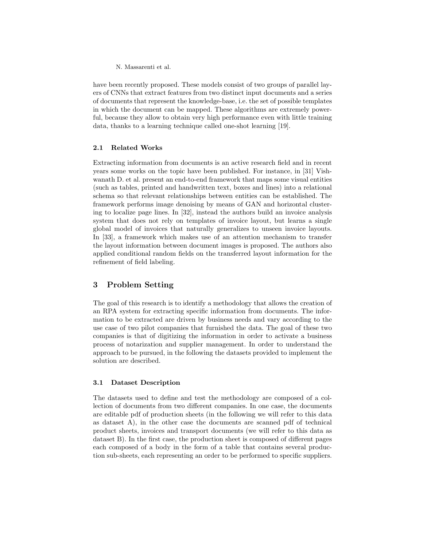have been recently proposed. These models consist of two groups of parallel layers of CNNs that extract features from two distinct input documents and a series of documents that represent the knowledge-base, i.e. the set of possible templates in which the document can be mapped. These algorithms are extremely powerful, because they allow to obtain very high performance even with little training data, thanks to a learning technique called one-shot learning [19].

## 2.1 Related Works

Extracting information from documents is an active research field and in recent years some works on the topic have been published. For instance, in [31] Vishwanath D. et al. present an end-to-end framework that maps some visual entities (such as tables, printed and handwritten text, boxes and lines) into a relational schema so that relevant relationships between entities can be established. The framework performs image denoising by means of GAN and horizontal clustering to localize page lines. In [32], instead the authors build an invoice analysis system that does not rely on templates of invoice layout, but learns a single global model of invoices that naturally generalizes to unseen invoice layouts. In [33], a framework which makes use of an attention mechanism to transfer the layout information between document images is proposed. The authors also applied conditional random fields on the transferred layout information for the refinement of field labeling.

# 3 Problem Setting

The goal of this research is to identify a methodology that allows the creation of an RPA system for extracting specific information from documents. The information to be extracted are driven by business needs and vary according to the use case of two pilot companies that furnished the data. The goal of these two companies is that of digitizing the information in order to activate a business process of notarization and supplier management. In order to understand the approach to be pursued, in the following the datasets provided to implement the solution are described.

## 3.1 Dataset Description

The datasets used to define and test the methodology are composed of a collection of documents from two different companies. In one case, the documents are editable pdf of production sheets (in the following we will refer to this data as dataset A), in the other case the documents are scanned pdf of technical product sheets, invoices and transport documents (we will refer to this data as dataset B). In the first case, the production sheet is composed of different pages each composed of a body in the form of a table that contains several production sub-sheets, each representing an order to be performed to specific suppliers.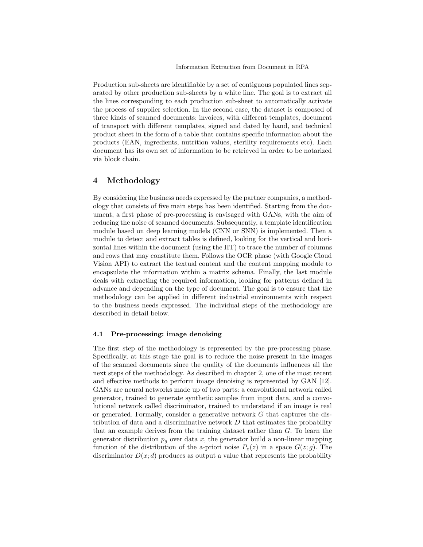Production sub-sheets are identifiable by a set of contiguous populated lines separated by other production sub-sheets by a white line. The goal is to extract all the lines corresponding to each production sub-sheet to automatically activate the process of supplier selection. In the second case, the dataset is composed of three kinds of scanned documents: invoices, with different templates, document of transport with different templates, signed and dated by hand, and technical product sheet in the form of a table that contains specific information about the products (EAN, ingredients, nutrition values, sterility requirements etc). Each document has its own set of information to be retrieved in order to be notarized via block chain.

# 4 Methodology

By considering the business needs expressed by the partner companies, a methodology that consists of five main steps has been identified. Starting from the document, a first phase of pre-processing is envisaged with GANs, with the aim of reducing the noise of scanned documents. Subsequently, a template identification module based on deep learning models (CNN or SNN) is implemented. Then a module to detect and extract tables is defined, looking for the vertical and horizontal lines within the document (using the HT) to trace the number of columns and rows that may constitute them. Follows the OCR phase (with Google Cloud Vision API) to extract the textual content and the content mapping module to encapsulate the information within a matrix schema. Finally, the last module deals with extracting the required information, looking for patterns defined in advance and depending on the type of document. The goal is to ensure that the methodology can be applied in different industrial environments with respect to the business needs expressed. The individual steps of the methodology are described in detail below.

# 4.1 Pre-processing: image denoising

The first step of the methodology is represented by the pre-processing phase. Specifically, at this stage the goal is to reduce the noise present in the images of the scanned documents since the quality of the documents influences all the next steps of the methodology. As described in chapter 2, one of the most recent and effective methods to perform image denoising is represented by GAN [12]. GANs are neural networks made up of two parts: a convolutional network called generator, trained to generate synthetic samples from input data, and a convolutional network called discriminator, trained to understand if an image is real or generated. Formally, consider a generative network  $G$  that captures the distribution of data and a discriminative network  $D$  that estimates the probability that an example derives from the training dataset rather than G. To learn the generator distribution  $p<sub>q</sub>$  over data x, the generator build a non-linear mapping function of the distribution of the a-priori noise  $P_z(z)$  in a space  $G(z; g)$ . The discriminator  $D(x; d)$  produces as output a value that represents the probability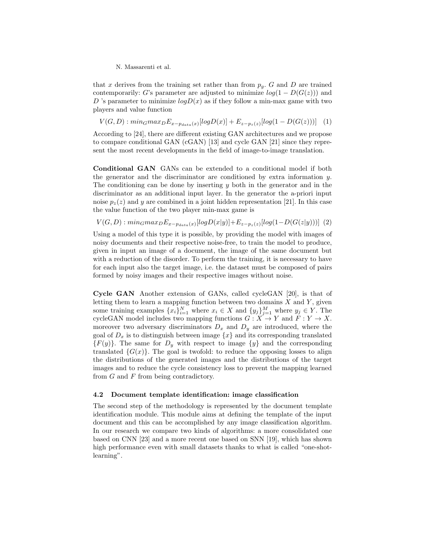that x derives from the training set rather than from  $p<sub>q</sub>$ . G and D are trained contemporarily: G's parameter are adjusted to minimize  $log(1 - D(G(z)))$  and D 's parameter to minimize  $logD(x)$  as if they follow a min-max game with two players and value function

 $V(G, D) : min_G max_D E_{x-p_{data}(x)} [log D(x)] + E_{z-p_z(z)} [log(1 - D(G(z)))]$  (1)

According to [24], there are different existing GAN architectures and we propose to compare conditional GAN (cGAN) [13] and cycle GAN [21] since they represent the most recent developments in the field of image-to-image translation.

Conditional GAN GANs can be extended to a conditional model if both the generator and the discriminator are conditioned by extra information  $y$ . The conditioning can be done by inserting  $y$  both in the generator and in the discriminator as an additional input layer. In the generator the a-priori input noise  $p_z(z)$  and y are combined in a joint hidden representation [21]. In this case the value function of the two player min-max game is

 $V(G, D) : min_G max_D E_{x-p_{data}(x)} [log D(x|y)] + E_{z-p_z(z)} [log(1 - D(G(z|y)))]$  (2)

Using a model of this type it is possible, by providing the model with images of noisy documents and their respective noise-free, to train the model to produce, given in input an image of a document, the image of the same document but with a reduction of the disorder. To perform the training, it is necessary to have for each input also the target image, i.e. the dataset must be composed of pairs formed by noisy images and their respective images without noise.

Cycle GAN Another extension of GANs, called cycleGAN [20], is that of letting them to learn a mapping function between two domains  $X$  and  $Y$ , given some training examples  ${x_i}_{i=1}^N$  where  $x_i \in X$  and  ${y_j}_{j=1}^M$  where  $y_j \in Y$ . The cycleGAN model includes two mapping functions  $G: X \to Y$  and  $F: Y \to X$ . moreover two adversary discriminators  $D_x$  and  $D_y$  are introduced, where the goal of  $D_x$  is to distinguish between image  $\{x\}$  and its corresponding translated  ${F(y)}$ . The same for  $D_y$  with respect to image  ${y}$  and the corresponding translated  $\{G(x)\}\$ . The goal is twofold: to reduce the opposing losses to align the distributions of the generated images and the distributions of the target images and to reduce the cycle consistency loss to prevent the mapping learned from  $G$  and  $F$  from being contradictory.

### 4.2 Document template identification: image classification

The second step of the methodology is represented by the document template identification module. This module aims at defining the template of the input document and this can be accomplished by any image classification algorithm. In our research we compare two kinds of algorithms: a more consolidated one based on CNN [23] and a more recent one based on SNN [19], which has shown high performance even with small datasets thanks to what is called "one-shotlearning".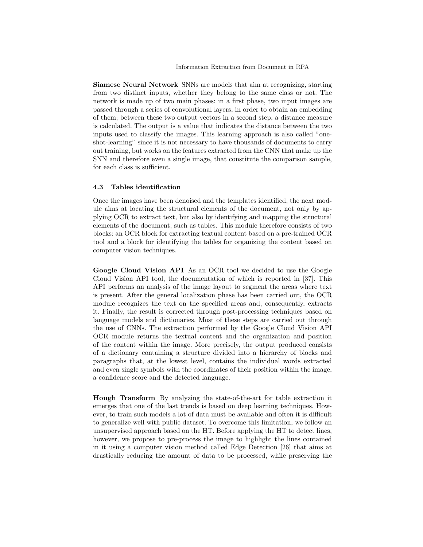Siamese Neural Network SNNs are models that aim at recognizing, starting from two distinct inputs, whether they belong to the same class or not. The network is made up of two main phases: in a first phase, two input images are passed through a series of convolutional layers, in order to obtain an embedding of them; between these two output vectors in a second step, a distance measure is calculated. The output is a value that indicates the distance between the two inputs used to classify the images. This learning approach is also called "oneshot-learning" since it is not necessary to have thousands of documents to carry out training, but works on the features extracted from the CNN that make up the SNN and therefore even a single image, that constitute the comparison sample, for each class is sufficient.

#### 4.3 Tables identification

Once the images have been denoised and the templates identified, the next module aims at locating the structural elements of the document, not only by applying OCR to extract text, but also by identifying and mapping the structural elements of the document, such as tables. This module therefore consists of two blocks: an OCR block for extracting textual content based on a pre-trained OCR tool and a block for identifying the tables for organizing the content based on computer vision techniques.

Google Cloud Vision API As an OCR tool we decided to use the Google Cloud Vision API tool, the documentation of which is reported in [37]. This API performs an analysis of the image layout to segment the areas where text is present. After the general localization phase has been carried out, the OCR module recognizes the text on the specified areas and, consequently, extracts it. Finally, the result is corrected through post-processing techniques based on language models and dictionaries. Most of these steps are carried out through the use of CNNs. The extraction performed by the Google Cloud Vision API OCR module returns the textual content and the organization and position of the content within the image. More precisely, the output produced consists of a dictionary containing a structure divided into a hierarchy of blocks and paragraphs that, at the lowest level, contains the individual words extracted and even single symbols with the coordinates of their position within the image, a confidence score and the detected language.

Hough Transform By analyzing the state-of-the-art for table extraction it emerges that one of the last trends is based on deep learning techniques. However, to train such models a lot of data must be available and often it is difficult to generalize well with public dataset. To overcome this limitation, we follow an unsupervised approach based on the HT. Before applying the HT to detect lines, however, we propose to pre-process the image to highlight the lines contained in it using a computer vision method called Edge Detection [26] that aims at drastically reducing the amount of data to be processed, while preserving the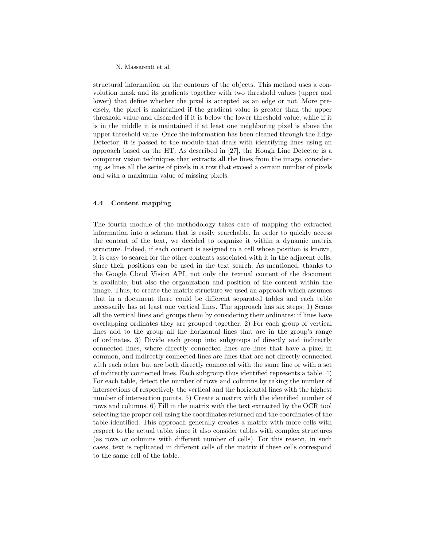structural information on the contours of the objects. This method uses a convolution mask and its gradients together with two threshold values (upper and lower) that define whether the pixel is accepted as an edge or not. More precisely, the pixel is maintained if the gradient value is greater than the upper threshold value and discarded if it is below the lower threshold value, while if it is in the middle it is maintained if at least one neighboring pixel is above the upper threshold value. Once the information has been cleaned through the Edge Detector, it is passed to the module that deals with identifying lines using an approach based on the HT. As described in [27], the Hough Line Detector is a computer vision techniques that extracts all the lines from the image, considering as lines all the series of pixels in a row that exceed a certain number of pixels and with a maximum value of missing pixels.

### 4.4 Content mapping

The fourth module of the methodology takes care of mapping the extracted information into a schema that is easily searchable. In order to quickly access the content of the text, we decided to organize it within a dynamic matrix structure. Indeed, if each content is assigned to a cell whose position is known, it is easy to search for the other contents associated with it in the adjacent cells, since their positions can be used in the text search. As mentioned, thanks to the Google Cloud Vision API, not only the textual content of the document is available, but also the organization and position of the content within the image. Thus, to create the matrix structure we used an approach which assumes that in a document there could be different separated tables and each table necessarily has at least one vertical lines. The approach has six steps: 1) Scans all the vertical lines and groups them by considering their ordinates: if lines have overlapping ordinates they are grouped together. 2) For each group of vertical lines add to the group all the horizontal lines that are in the group's range of ordinates. 3) Divide each group into subgroups of directly and indirectly connected lines, where directly connected lines are lines that have a pixel in common, and indirectly connected lines are lines that are not directly connected with each other but are both directly connected with the same line or with a set of indirectly connected lines. Each subgroup thus identified represents a table. 4) For each table, detect the number of rows and columns by taking the number of intersections of respectively the vertical and the horizontal lines with the highest number of intersection points. 5) Create a matrix with the identified number of rows and columns. 6) Fill in the matrix with the text extracted by the OCR tool selecting the proper cell using the coordinates returned and the coordinates of the table identified. This approach generally creates a matrix with more cells with respect to the actual table, since it also consider tables with complex structures (as rows or columns with different number of cells). For this reason, in such cases, text is replicated in different cells of the matrix if these cells correspond to the same cell of the table.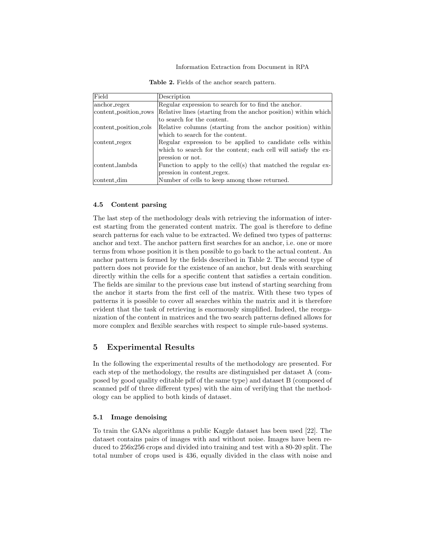| Field                 | Description                                                     |
|-----------------------|-----------------------------------------------------------------|
| anchor_regex          | Regular expression to search for to find the anchor.            |
| content_position_rows | Relative lines (starting from the anchor position) within which |
|                       | to search for the content.                                      |
| content_position_cols | Relative columns (starting from the anchor position) within     |
|                       | which to search for the content.                                |
| content_regex         | Regular expression to be applied to candidate cells within      |
|                       | which to search for the content; each cell will satisfy the ex- |
|                       | pression or not.                                                |
| content lambda        | Function to apply to the cell(s) that matched the regular ex-   |
|                       | pression in content_regex.                                      |
| content_dim           | Number of cells to keep among those returned.                   |

Table 2. Fields of the anchor search pattern.

# 4.5 Content parsing

The last step of the methodology deals with retrieving the information of interest starting from the generated content matrix. The goal is therefore to define search patterns for each value to be extracted. We defined two types of patterns: anchor and text. The anchor pattern first searches for an anchor, i.e. one or more terms from whose position it is then possible to go back to the actual content. An anchor pattern is formed by the fields described in Table 2. The second type of pattern does not provide for the existence of an anchor, but deals with searching directly within the cells for a specific content that satisfies a certain condition. The fields are similar to the previous case but instead of starting searching from the anchor it starts from the first cell of the matrix. With these two types of patterns it is possible to cover all searches within the matrix and it is therefore evident that the task of retrieving is enormously simplified. Indeed, the reorganization of the content in matrices and the two search patterns defined allows for more complex and flexible searches with respect to simple rule-based systems.

# 5 Experimental Results

In the following the experimental results of the methodology are presented. For each step of the methodology, the results are distinguished per dataset A (composed by good quality editable pdf of the same type) and dataset B (composed of scanned pdf of three different types) with the aim of verifying that the methodology can be applied to both kinds of dataset.

## 5.1 Image denoising

To train the GANs algorithms a public Kaggle dataset has been used [22]. The dataset contains pairs of images with and without noise. Images have been reduced to 256x256 crops and divided into training and test with a 80-20 split. The total number of crops used is 436, equally divided in the class with noise and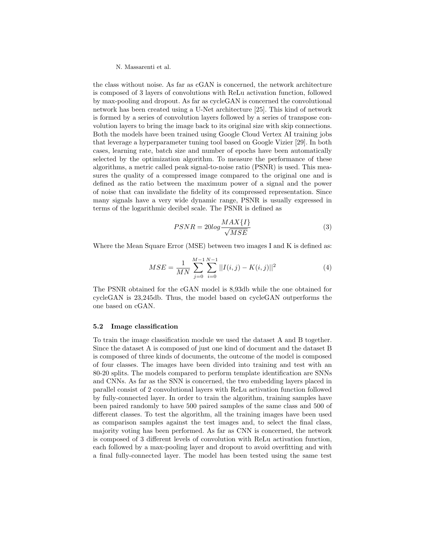the class without noise. As far as cGAN is concerned, the network architecture is composed of 3 layers of convolutions with ReLu activation function, followed by max-pooling and dropout. As far as cycleGAN is concerned the convolutional network has been created using a U-Net architecture [25]. This kind of network is formed by a series of convolution layers followed by a series of transpose convolution layers to bring the image back to its original size with skip connections. Both the models have been trained using Google Cloud Vertex AI training jobs that leverage a hyperparameter tuning tool based on Google Vizier [29]. In both cases, learning rate, batch size and number of epochs have been automatically selected by the optimization algorithm. To measure the performance of these algorithms, a metric called peak signal-to-noise ratio (PSNR) is used. This measures the quality of a compressed image compared to the original one and is defined as the ratio between the maximum power of a signal and the power of noise that can invalidate the fidelity of its compressed representation. Since many signals have a very wide dynamic range, PSNR is usually expressed in terms of the logarithmic decibel scale. The PSNR is defined as

$$
PSNR = 20\log \frac{MAX\{I\}}{\sqrt{MSE}}\tag{3}
$$

Where the Mean Square Error (MSE) between two images I and K is defined as:

$$
MSE = \frac{1}{MN} \sum_{j=0}^{M-1} \sum_{i=0}^{N-1} ||I(i,j) - K(i,j)||^2
$$
 (4)

The PSNR obtained for the cGAN model is 8,93db while the one obtained for cycleGAN is 23,245db. Thus, the model based on cycleGAN outperforms the one based on cGAN.

### 5.2 Image classification

To train the image classification module we used the dataset A and B together. Since the dataset A is composed of just one kind of document and the dataset B is composed of three kinds of documents, the outcome of the model is composed of four classes. The images have been divided into training and test with an 80-20 splits. The models compared to perform template identification are SNNs and CNNs. As far as the SNN is concerned, the two embedding layers placed in parallel consist of 2 convolutional layers with ReLu activation function followed by fully-connected layer. In order to train the algorithm, training samples have been paired randomly to have 500 paired samples of the same class and 500 of different classes. To test the algorithm, all the training images have been used as comparison samples against the test images and, to select the final class, majority voting has been performed. As far as CNN is concerned, the network is composed of 3 different levels of convolution with ReLu activation function, each followed by a max-pooling layer and dropout to avoid overfitting and with a final fully-connected layer. The model has been tested using the same test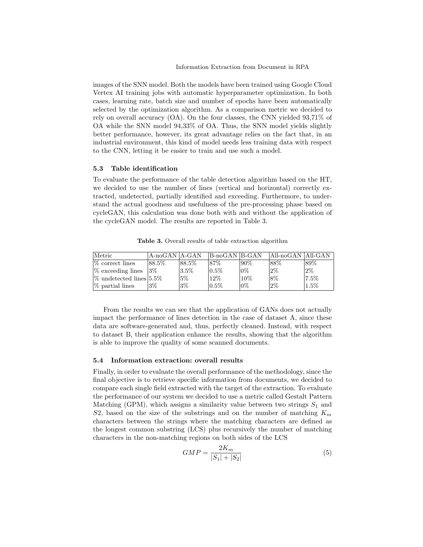images of the SNN model. Both the models have been trained using Google Cloud Vertex AI training jobs with automatic hyperparameter optimization. In both cases, learning rate, batch size and number of epochs have been automatically selected by the optimization algorithm. As a comparison metric we decided to rely on overall accuracy (OA). On the four classes, the CNN yielded 93,71% of OA while the SNN model 94,33% of OA. Thus, the SNN model yields slightly better performance, however, its great advantage relies on the fact that, in an industrial environment, this kind of model needs less training data with respect to the CNN, letting it be easier to train and use such a model.

### 5.3 Table identification

To evaluate the performance of the table detection algorithm based on the HT, we decided to use the number of lines (vertical and horizontal) correctly extracted, undetected, partially identified and exceeding. Furthermore, to understand the actual goodness and usefulness of the pre-processing phase based on cycleGAN, this calculation was done both with and without the application of the cycleGAN model. The results are reported in Table 3.

Table 3. Overall results of table extraction algorithm

| Metric                     | A-noGAN   A-GAN |           | B-noGAN B-GAN |        | All-noGAN  All-GAN |         |
|----------------------------|-----------------|-----------|---------------|--------|--------------------|---------|
| $%$ correct lines          | $88.5\%$        | $ 88.5\%$ | 87\%          | 190%   | 88\%               | 89%     |
| \%\, \% exceeding lines    | $3\%$           | $13.5\%$  | $0.5\%$       | $10\%$ | $2\%$              | 2%      |
| $\%$ undetected lines 5.5% |                 | $5\%$     | $12\%$        | 10%    | 8%                 | $7.5\%$ |
| $\%$ partial lines         | $3\%$           | $3\%$     | $0.5\%$       | 10%    | $2\%$              | $1.5\%$ |

From the results we can see that the application of GANs does not actually impact the performance of lines detection in the case of dataset A, since these data are software-generated and, thus, perfectly cleaned. Instead, with respect to dataset B, their application enhance the results, showing that the algorithm is able to improve the quality of some scanned documents.

### 5.4 Information extraction: overall results

Finally, in order to evaluate the overall performance of the methodology, since the final objective is to retrieve specific information from documents, we decided to compare each single field extracted with the target of the extraction. To evaluate the performance of our system we decided to use a metric called Gestalt Pattern Matching (GPM), which assigns a similarity value between two strings  $S_1$  and S2, based on the size of the substrings and on the number of matching  $K_m$ characters between the strings where the matching characters are defined as the longest common substring (LCS) plus recursively the number of matching characters in the non-matching regions on both sides of the LCS

$$
GMP = \frac{2K_m}{|S_1| + |S_2|}
$$
\n(5)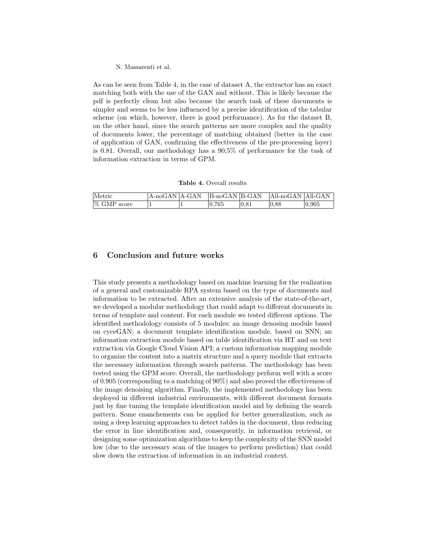As can be seen from Table 4, in the case of dataset A, the extractor has an exact matching both with the use of the GAN and without. This is likely because the pdf is perfectly clean but also because the search task of these documents is simpler and seems to be less influenced by a precise identification of the tabular scheme (on which, however, there is good performance). As for the dataset B, on the other hand, since the search patterns are more complex and the quality of documents lower, the percentage of matching obtained (better in the case of application of GAN, confirming the effectiveness of the pre-processing layer) is 0.81. Overall, our methodology has a 90,5% of performance for the task of information extraction in terms of GPM.

Table 4. Overall results

| Metric         | A-noGAN A-GAN | $ B_{-}noGAN B_{-}GAN$ | All-noGAN All-GAN |       |
|----------------|---------------|------------------------|-------------------|-------|
| $\%$ GMP score |               | 0.765                  | 0.88              | 0.905 |

# 6 Conclusion and future works

This study presents a methodology based on machine learning for the realization of a general and customizable RPA system based on the type of documents and information to be extracted. After an extensive analysis of the state-of-the-art, we developed a modular methodology that could adapt to different documents in terms of template and content. For each module we tested different options. The identified methodology consists of 5 modules: an image denosing module based on cyceGAN; a document template identification module, based on SNN; an information extraction module based on table identification via HT and on text extraction via Google Cloud Vision API; a custom information mapping module to organize the content into a matrix structure and a query module that extracts the necessary information through search patterns. The methodology has been tested using the GPM score. Overall, the methodology perform well with a score of 0.905 (corresponding to a matching of  $90\%$ ) and also proved the effectiveness of the image denoising algorithm. Finally, the implemented methodology has been deployed in different industrial environments, with different document formats just by fine tuning the template identification model and by defining the search pattern. Some enanchements can be applied for better generalization, such as using a deep learning approaches to detect tables in the document, thus reducing the error in line identification and, consequently, in information retrieval, or designing some optimization algorithms to keep the complexity of the SNN model low (due to the necessary scan of the images to perform prediction) that could slow down the extraction of information in an industrial context.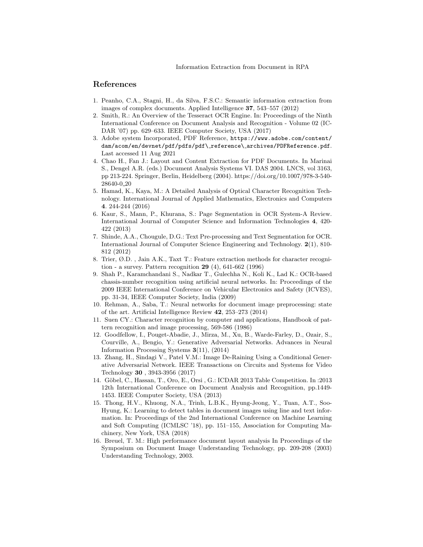# References

- 1. Peanho, C.A., Stagni, H., da Silva, F.S.C.: Semantic information extraction from images of complex documents. Applied Intelligence 37, 543–557 (2012)
- 2. Smith, R.: An Overview of the Tesseract OCR Engine. In: Proceedings of the Ninth International Conference on Document Analysis and Recognition - Volume 02 (IC-DAR '07) pp. 629–633. IEEE Computer Society, USA (2017)
- 3. Adobe system Incorporated, PDF Reference, https://www.adobe.com/content/ dam/acom/en/devnet/pdf/pdfs/pdf\ reference\ archives/PDFReference.pdf. Last accessed 11 Aug 2021
- 4. Chao H., Fan J.: Layout and Content Extraction for PDF Documents. In Marinai S., Dengel A.R. (eds.) Document Analysis Systems VI. DAS 2004. LNCS, vol 3163, pp 213-224. Springer, Berlin, Heidelberg (2004). https://doi.org/10.1007/978-3-540- 28640-0 20
- 5. Hamad, K., Kaya, M.: A Detailed Analysis of Optical Character Recognition Technology. International Journal of Applied Mathematics, Electronics and Computers 4. 244-244 (2016)
- 6. Kaur, S., Mann, P., Khurana, S.: Page Segmentation in OCR System-A Review. International Journal of Computer Science and Information Technologies 4, 420- 422 (2013)
- 7. Shinde, A.A., Chougule, D.G.: Text Pre-processing and Text Segmentation for OCR. International Journal of Computer Science Engineering and Technology. 2(1), 810- 812 (2012)
- 8. Trier, Ø.D. , Jain A.K., Taxt T.: Feature extraction methods for character recognition - a survey. Pattern recognition 29 (4), 641-662 (1996)
- 9. Shah P., Karamchandani S., Nadkar T., Gulechha N., Koli K., Lad K.: OCR-based chassis-number recognition using artificial neural networks. In: Proceedings of the 2009 IEEE International Conference on Vehicular Electronics and Safety (ICVES), pp. 31-34, IEEE Computer Society, India (2009)
- 10. Rehman, A., Saba, T.: Neural networks for document image preprocessing: state of the art. Artificial Intelligence Review 42, 253–273 (2014)
- 11. Suen CY.: Character recognition by computer and applications, Handbook of pattern recognition and image processing, 569-586 (1986)
- 12. Goodfellow, I., Pouget-Abadie, J., Mirza, M., Xu, B., Warde-Farley, D., Ozair, S., Courville, A., Bengio, Y.: Generative Adversarial Networks. Advances in Neural Information Processing Systems 3(11), (2014)
- 13. Zhang, H., Sindagi V., Patel V.M.: Image De-Raining Using a Conditional Generative Adversarial Network. IEEE Transactions on Circuits and Systems for Video Technology 30 , 3943-3956 (2017)
- 14. Göbel, C., Hassan, T., Oro, E., Orsi, G.: ICDAR 2013 Table Competition. In :2013 12th International Conference on Document Analysis and Recognition, pp.1449- 1453. IEEE Computer Society, USA (2013)
- 15. Thong, H.V., Khuong, N.A., Trinh, L.B.K., Hyung-Jeong, Y., Tuan, A.T., Soo-Hyung, K.: Learning to detect tables in document images using line and text information. In: Proceedings of the 2nd International Conference on Machine Learning and Soft Computing (ICMLSC '18), pp. 151–155, Association for Computing Machinery, New York, USA (2018)
- 16. Breuel, T. M.: High performance document layout analysis In Proceedings of the Symposium on Document Image Understanding Technology, pp. 209-208 (2003) Understanding Technology, 2003.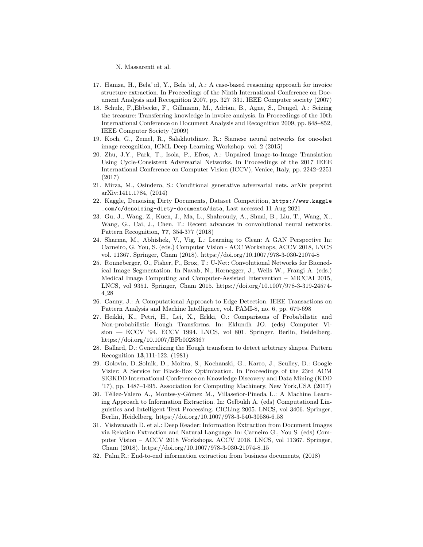- 17. Hamza, H., Bela¨ıd, Y., Bela¨ıd, A.: A case-based reasoning approach for invoice structure extraction. In Proceedings of the Ninth International Conference on Document Analysis and Recognition 2007, pp. 327–331. IEEE Computer society (2007)
- 18. Schulz, F.,Ebbecke, F., Gillmann, M., Adrian, B., Agne, S., Dengel, A.: Seizing the treasure: Transferring knowledge in invoice analysis. In Proceedings of the 10th International Conference on Document Analysis and Recognition 2009, pp. 848–852, IEEE Computer Society (2009)
- 19. Koch, G., Zemel, R., Salakhutdinov, R.: Siamese neural networks for one-shot image recognition, ICML Deep Learning Workshop. vol. 2 (2015)
- 20. Zhu, J.Y., Park, T., Isola, P., Efros, A.: Unpaired Image-to-Image Translation Using Cycle-Consistent Adversarial Networks. In Proceedings of the 2017 IEEE International Conference on Computer Vision (ICCV), Venice, Italy, pp. 2242–2251 (2017)
- 21. Mirza, M., Osindero, S.: Conditional generative adversarial nets. arXiv preprint arXiv:1411.1784, (2014)
- 22. Kaggle, Denoising Dirty Documents, Dataset Competition, https://www.kaggle .com/c/denoising-dirty-documents/data, Last accessed 11 Aug 2021
- 23. Gu, J., Wang, Z., Kuen, J., Ma, L., Shahroudy, A., Shuai, B., Liu, T., Wang, X., Wang, G., Cai, J., Chen, T.: Recent advances in convolutional neural networks. Pattern Recognition, 77, 354-377 (2018)
- 24. Sharma, M., Abhishek, V., Vig, L.: Learning to Clean: A GAN Perspective In: Carneiro, G. You, S. (eds.) Computer Vision - ACC Workshops, ACCV 2018, LNCS vol. 11367. Springer, Cham (2018). https://doi.org/10.1007/978-3-030-21074-8
- 25. Ronneberger, O., Fisher, P., Brox, T.: U-Net: Convolutional Networks for Biomedical Image Segmentation. In Navab, N., Hornegger, J., Wells W., Frangi A. (eds.) Medical Image Computing and Computer-Assisted Intervention – MICCAI 2015, LNCS, vol 9351. Springer, Cham 2015. https://doi.org/10.1007/978-3-319-24574- 4 28
- 26. Canny, J.: A Computational Approach to Edge Detection. IEEE Transactions on Pattern Analysis and Machine Intelligence, vol. PAMI-8, no. 6, pp. 679-698
- 27. Heikki, K., Petri, H., Lei, X., Erkki, O.: Comparisons of Probabilistic and Non-probabilistic Hough Transforms. In: Eklundh JO. (eds) Computer Vision — ECCV '94. ECCV 1994. LNCS, vol 801. Springer, Berlin, Heidelberg. https://doi.org/10.1007/BFb0028367
- 28. Ballard, D.: Generalizing the Hough transform to detect arbitrary shapes. Pattern Recognition 13,111-122. (1981)
- 29. Golovin, D.,Solnik, D., Moitra, S., Kochanski, G., Karro, J., Sculley, D.: Google Vizier: A Service for Black-Box Optimization. In Proceedings of the 23rd ACM SIGKDD International Conference on Knowledge Discovery and Data Mining (KDD '17), pp. 1487–1495. Association for Computing Machinery, New York,USA (2017)
- 30. Téllez-Valero A., Montes-y-Gómez M., Villaseñor-Pineda L.: A Machine Learning Approach to Information Extraction. In: Gelbukh A. (eds) Computational Linguistics and Intelligent Text Processing. CICLing 2005. LNCS, vol 3406. Springer, Berlin, Heidelberg. https://doi.org/10.1007/978-3-540-30586-6 58
- 31. Vishwanath D. et al.: Deep Reader: Information Extraction from Document Images via Relation Extraction and Natural Language. In: Carneiro G., You S. (eds) Computer Vision – ACCV 2018 Workshops. ACCV 2018. LNCS, vol 11367. Springer, Cham (2018). https://doi.org/10.1007/978-3-030-21074-8 15
- 32. Palm,R.: End-to-end information extraction from business documents, (2018)